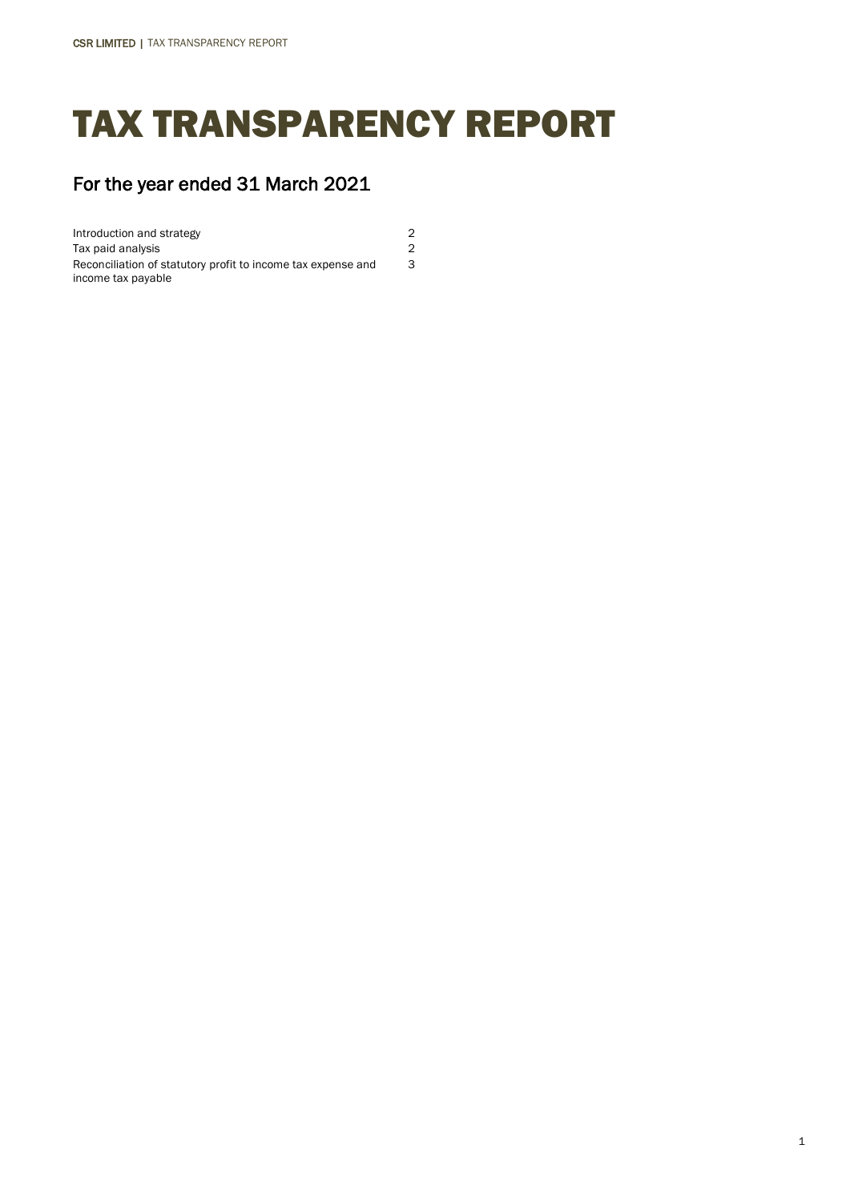# TAX TRANSPARENCY REPORT

3

## For the year ended 31 March 2021

Introduction and strategy 2 Tax paid analysis 2 Reconciliation of statutory profit to income tax expense and income tax payable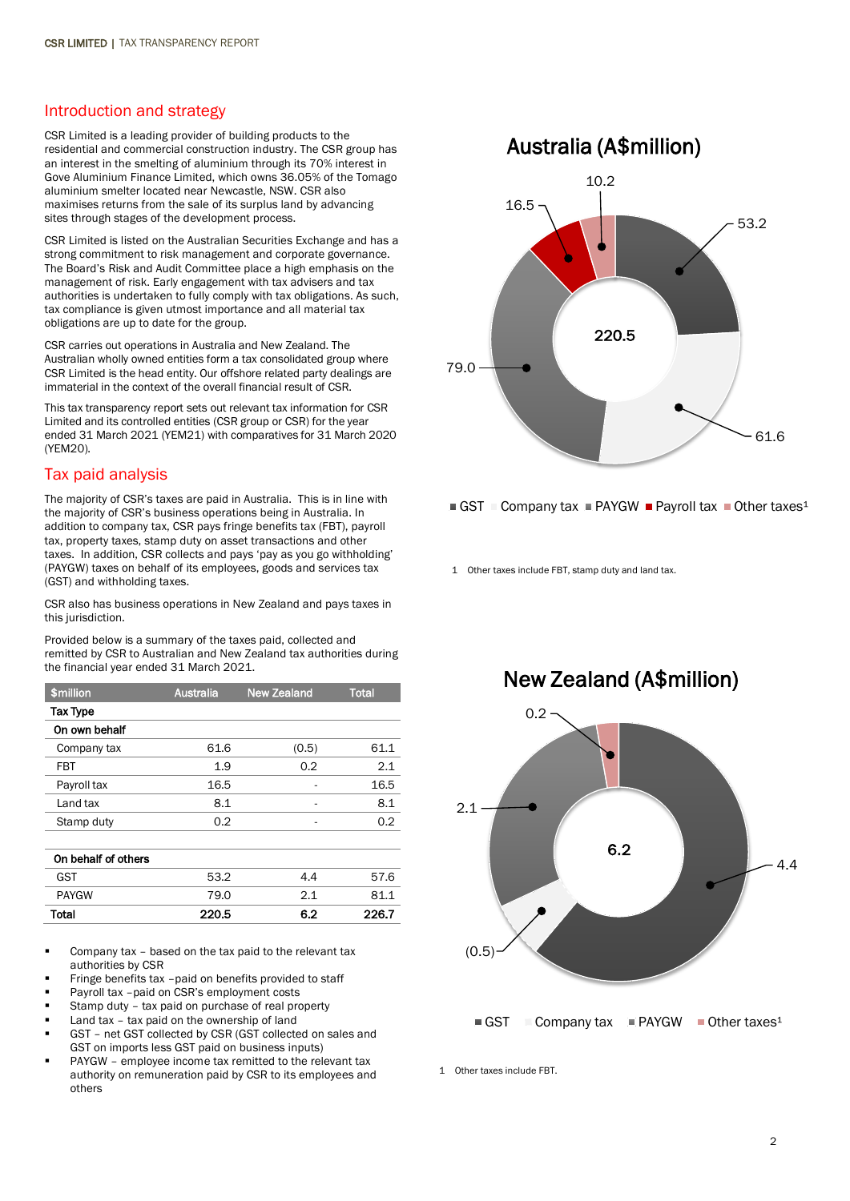#### Introduction and strategy

CSR Limited is a leading provider of building products to the residential and commercial construction industry. The CSR group has an interest in the smelting of aluminium through its 70% interest in Gove Aluminium Finance Limited, which owns 36.05% of the Tomago aluminium smelter located near Newcastle, NSW. CSR also maximises returns from the sale of its surplus land by advancing sites through stages of the development process.

CSR Limited is listed on the Australian Securities Exchange and has a strong commitment to risk management and corporate governance. The Board's Risk and Audit Committee place a high emphasis on the management of risk. Early engagement with tax advisers and tax authorities is undertaken to fully comply with tax obligations. As such, tax compliance is given utmost importance and all material tax obligations are up to date for the group.

CSR carries out operations in Australia and New Zealand. The Australian wholly owned entities form a tax consolidated group where CSR Limited is the head entity. Our offshore related party dealings are immaterial in the context of the overall financial result of CSR.

This tax transparency report sets out relevant tax information for CSR Limited and its controlled entities (CSR group or CSR) for the year ended 31 March 2021 (YEM21) with comparatives for 31 March 2020 (YEM20).

#### Tax paid analysis

The majority of CSR's taxes are paid in Australia. This is in line with the majority of CSR's business operations being in Australia. In addition to company tax, CSR pays fringe benefits tax (FBT), payroll tax, property taxes, stamp duty on asset transactions and other taxes. In addition, CSR collects and pays 'pay as you go withholding' (PAYGW) taxes on behalf of its employees, goods and services tax (GST) and withholding taxes.

CSR also has business operations in New Zealand and pays taxes in this jurisdiction.

Provided below is a summary of the taxes paid, collected and remitted by CSR to Australian and New Zealand tax authorities during the financial year ended 31 March 2021.

| \$million           | <b>Australia</b> | <b>New Zealand</b> | <b>Total</b> |
|---------------------|------------------|--------------------|--------------|
| <b>Tax Type</b>     |                  |                    |              |
| On own behalf       |                  |                    |              |
| Company tax         | 61.6             | (0.5)              | 61.1         |
| FBT                 | 1.9              | 0.2                | 2.1          |
| Payroll tax         | 16.5             |                    | 16.5         |
| Land tax            | 8.1              |                    | 8.1          |
| Stamp duty          | 0.2              |                    | 0.2          |
|                     |                  |                    |              |
| On behalf of others |                  |                    |              |
| <b>GST</b>          | 53.2             | 4.4                | 57.6         |
| <b>PAYGW</b>        | 79.0             | 2.1                | 81.1         |
| Total               | 220.5            | 6.2                | 226.7        |

- Company tax based on the tax paid to the relevant tax authorities by CSR
- Fringe benefits tax –paid on benefits provided to staff
- Payroll tax –paid on CSR's employment costs
- Stamp duty tax paid on purchase of real property
- Land tax tax paid on the ownership of land
- GST net GST collected by CSR (GST collected on sales and GST on imports less GST paid on business inputs)
- PAYGW employee income tax remitted to the relevant tax authority on remuneration paid by CSR to its employees and others

### Australia (A\$million)





1 Other taxes include FBT, stamp duty and land tax.



1 Other taxes include FBT.